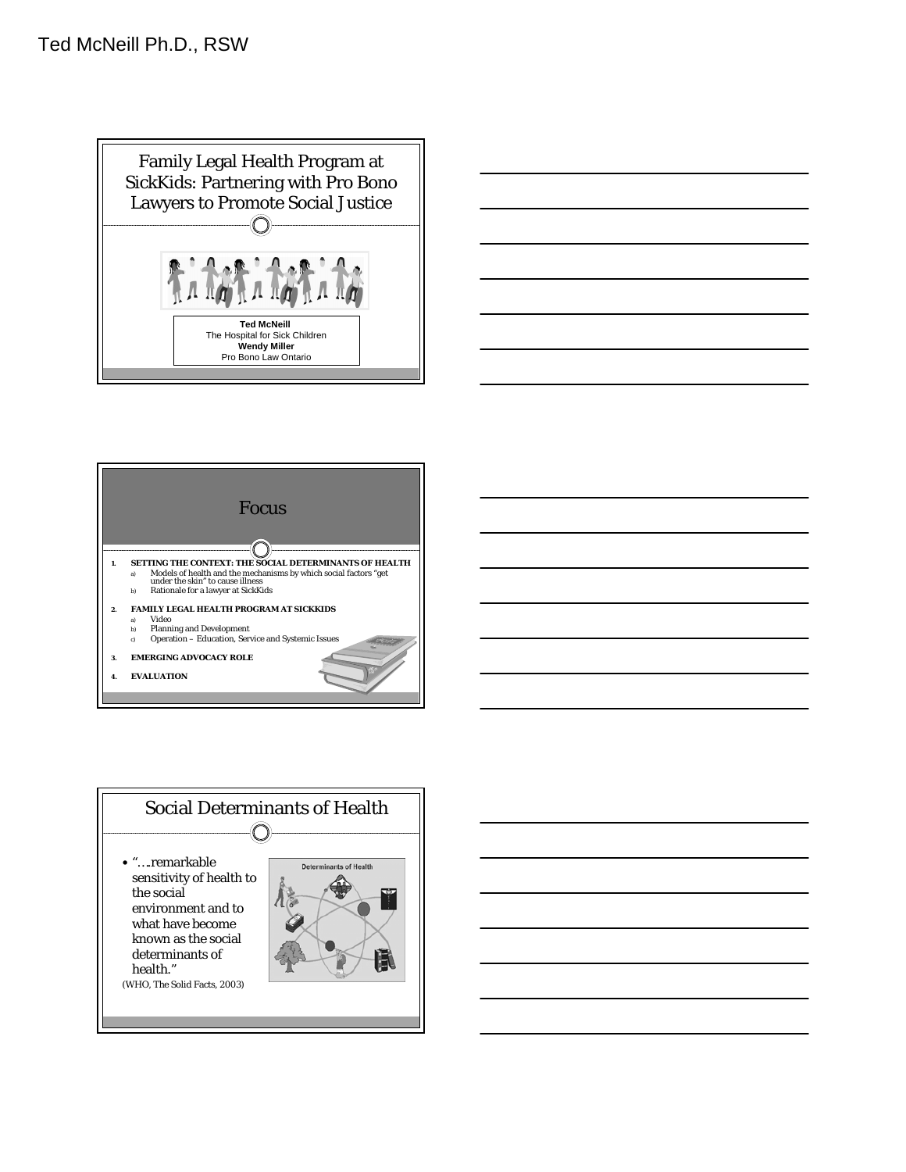





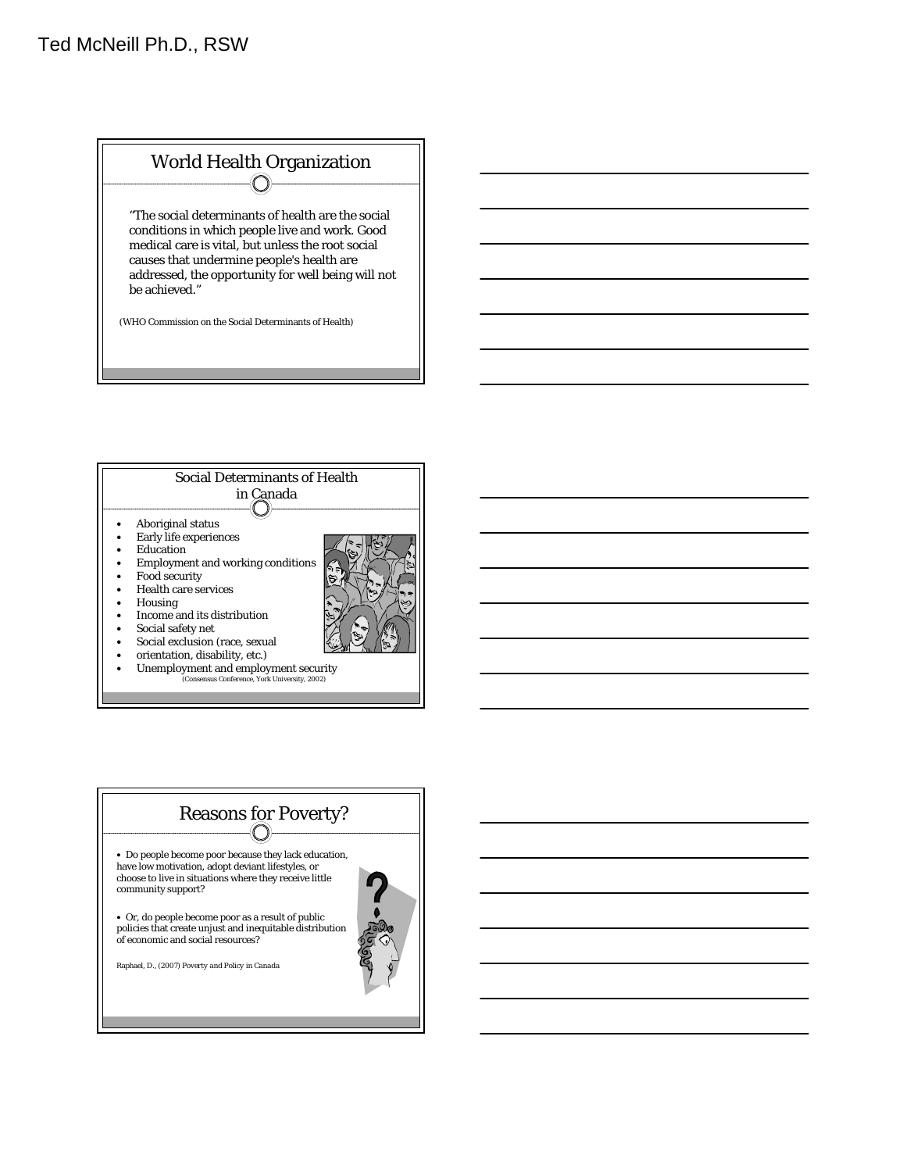



- Social exclusion (race, sexual
- orientation, disability, etc.)
- Unemployment and employment security (Consensus Conference, York University, 2002)

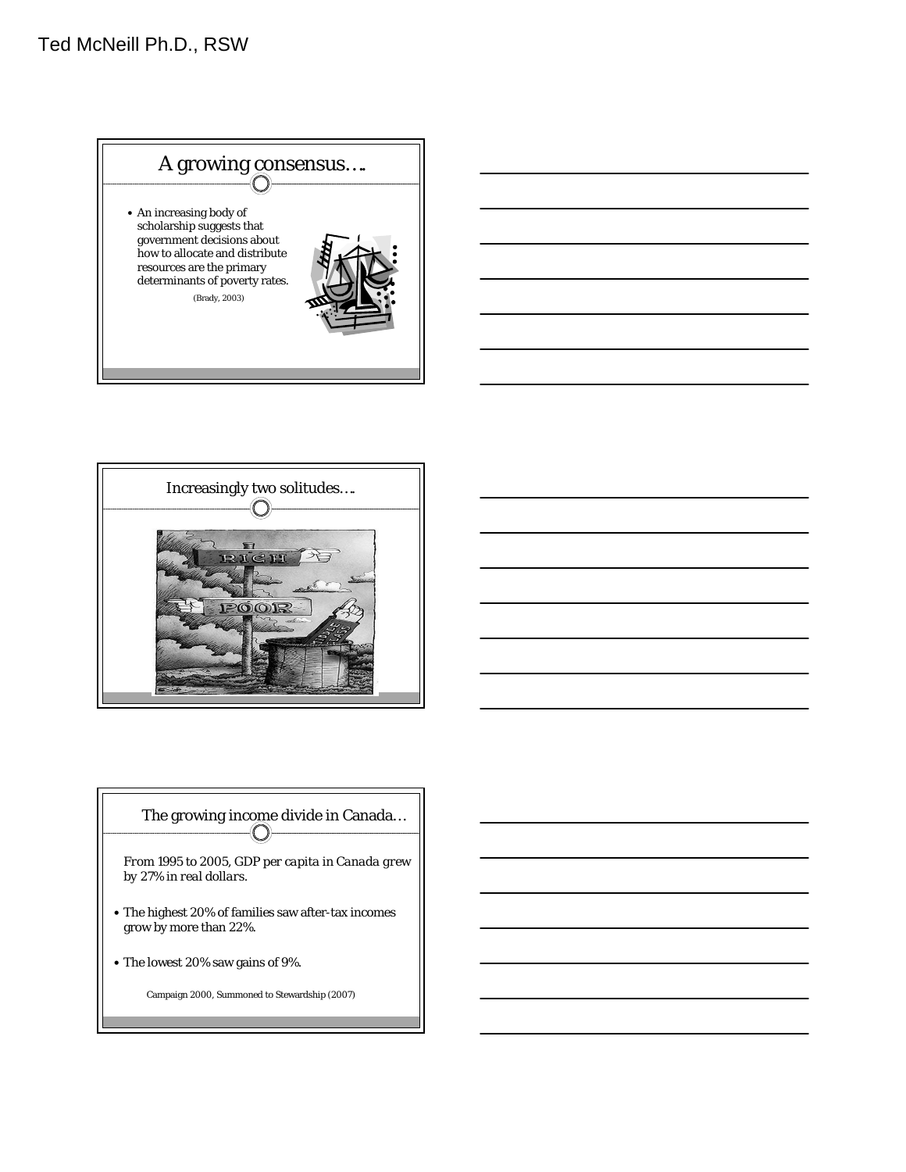



# The growing income divide in Canada…

*From 1995 to 2005, GDP per capita in Canada grew by 27% in real dollars.*

- The highest 20% of families saw after-tax incomes grow by more than 22%.
- The lowest 20% saw gains of 9%.

Campaign 2000, Summoned to Stewardship (2007)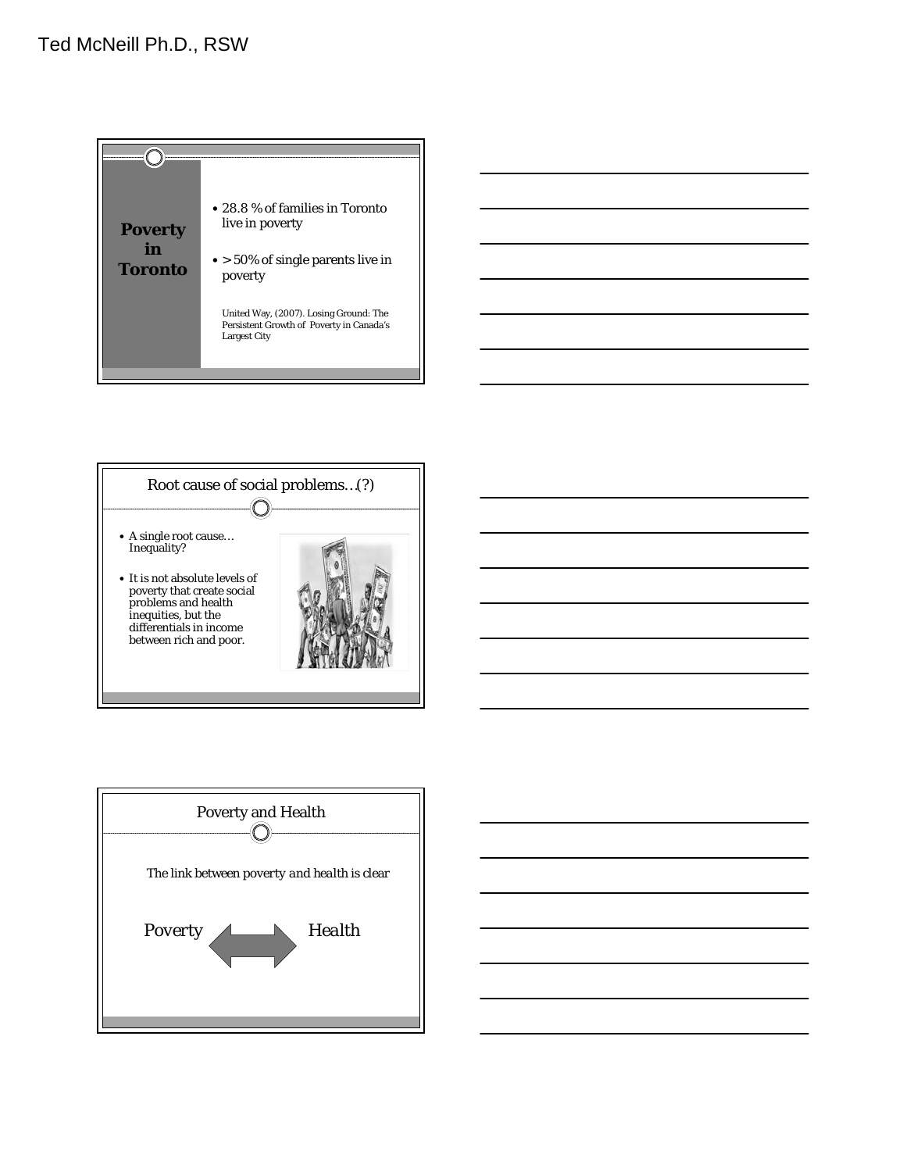





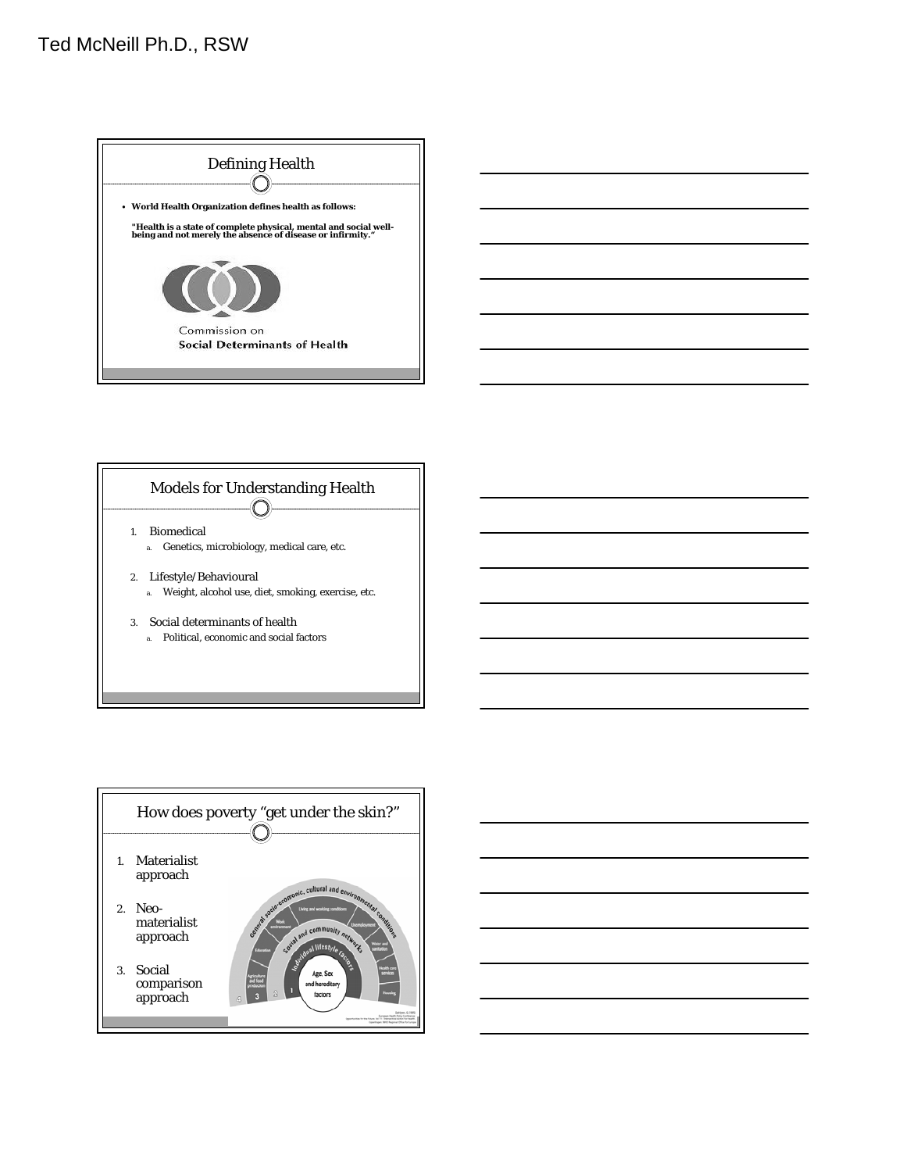







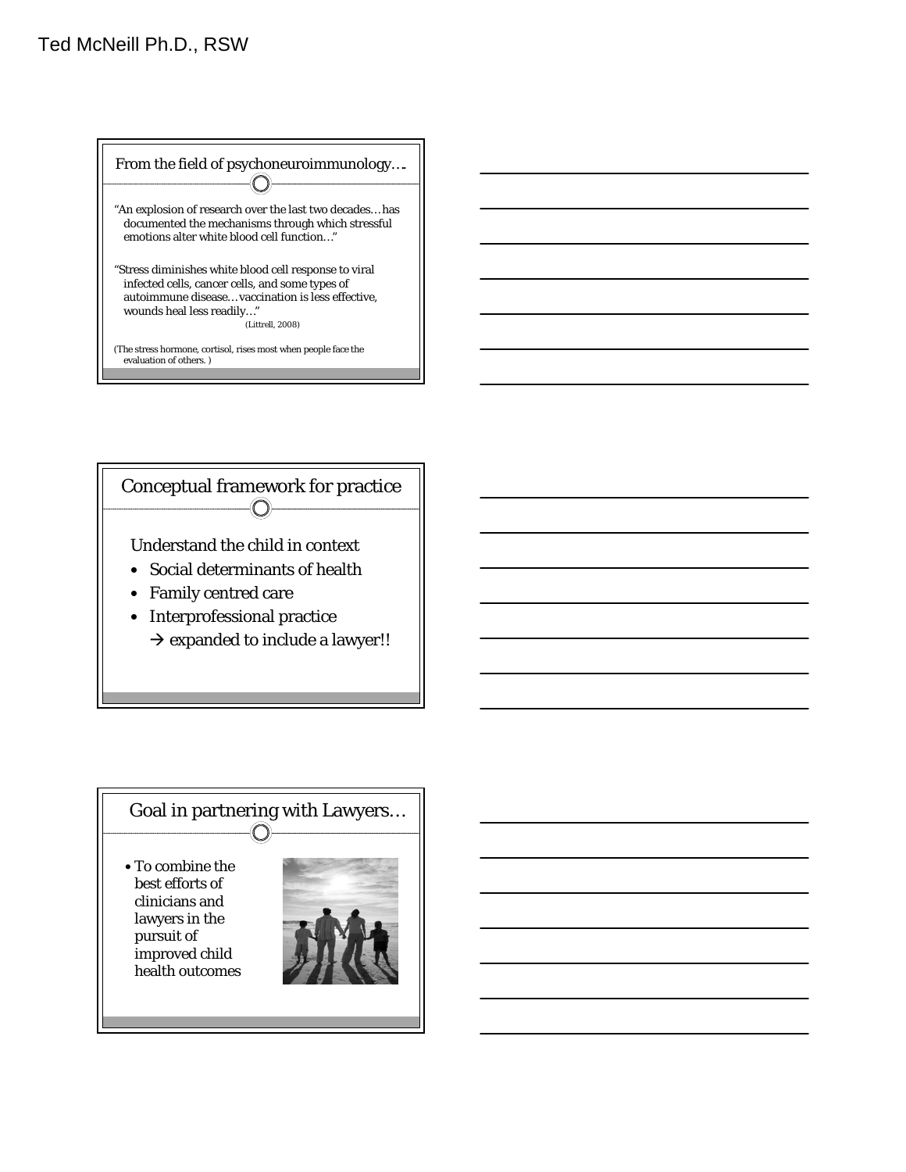From the field of psychoneuroimmunology…. -(O) "An explosion of research over the last two decades… has documented the mechanisms through which stressful emotions alter white blood cell function…" "Stress diminishes white blood cell response to viral infected cells, cancer cells, and some types of autoimmune disease… vaccination is less effective, wounds heal less readily…" (Littrell, 2008) (The stress hormone, cortisol, rises most when people face the evaluation of others. )



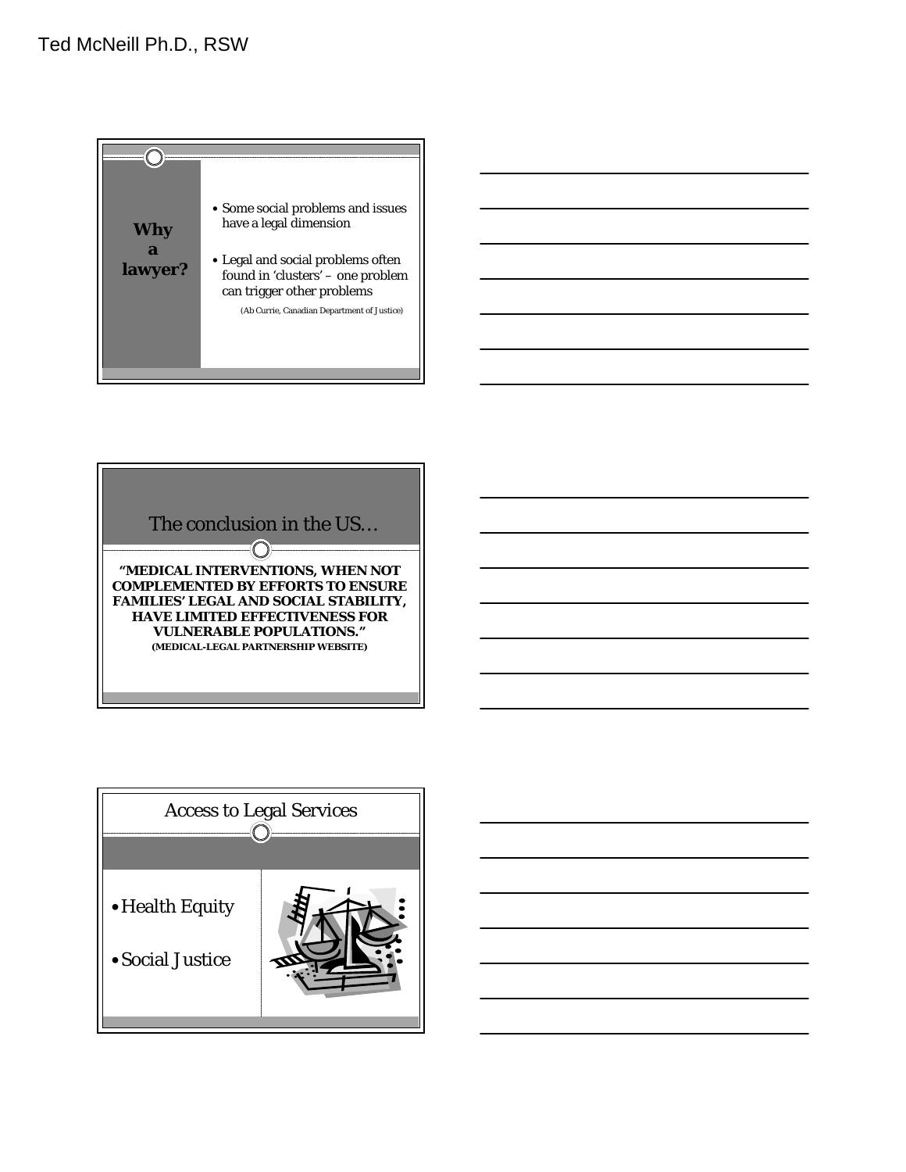



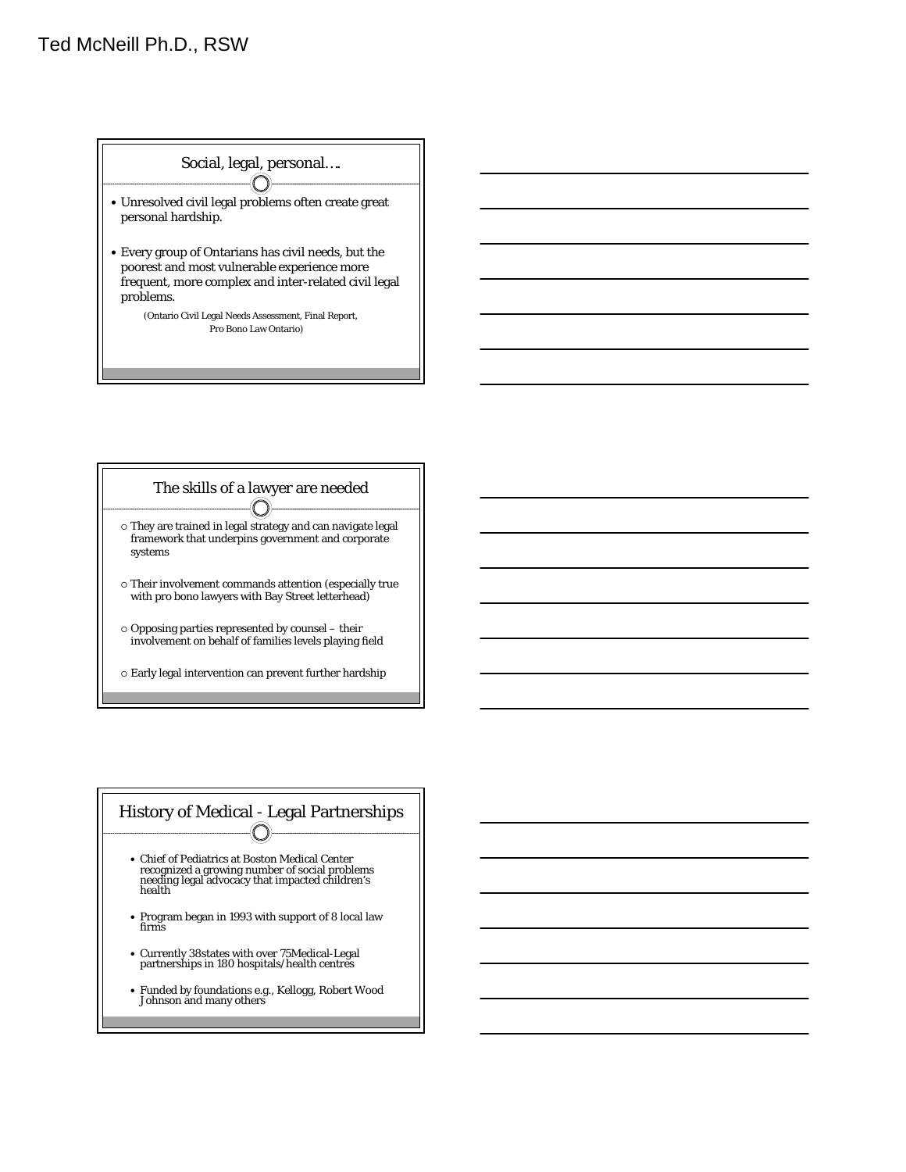



 $\circ$  Early legal intervention can prevent further hardship

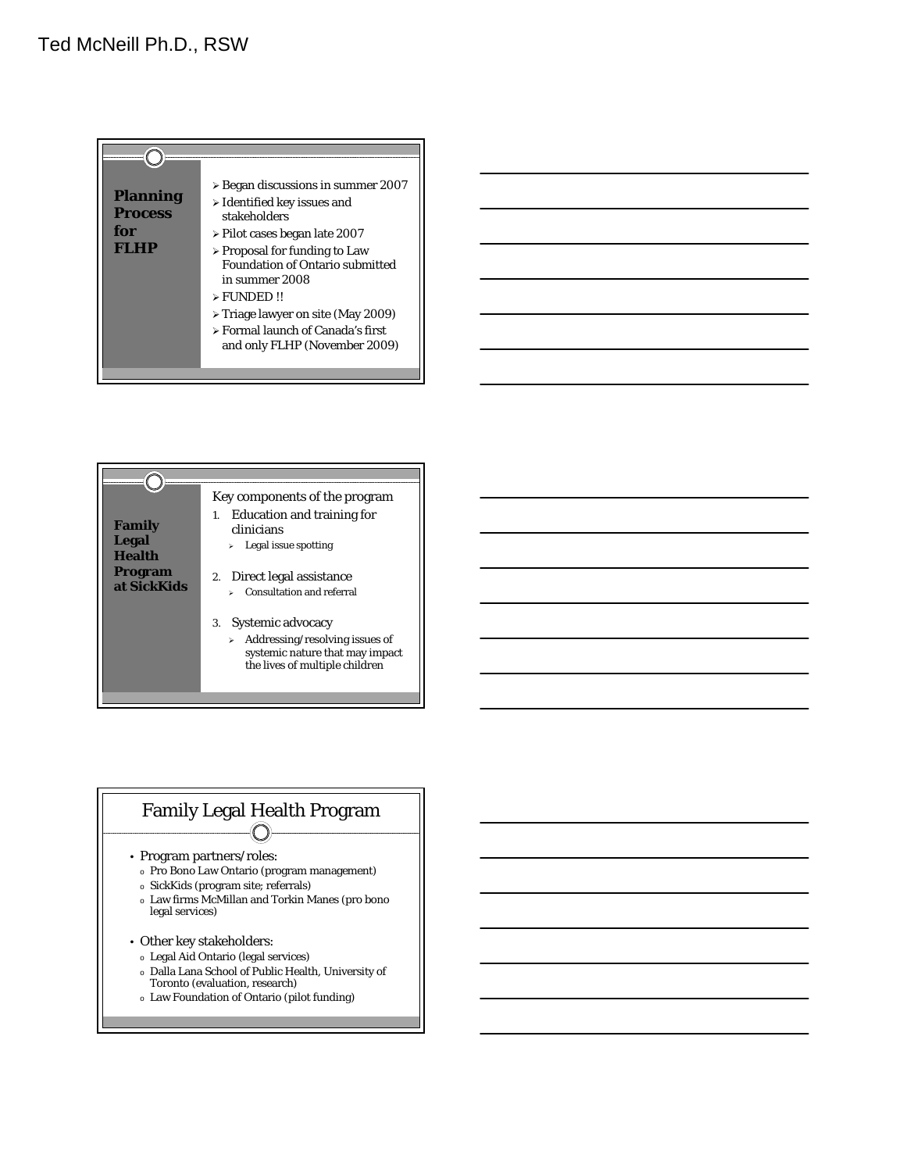



#### Family Legal Health Program  $\bigcirc$

- Program partners/roles:
- o Pro Bono Law Ontario (program management)
- o SickKids (program site; referrals)
- o Law firms McMillan and Torkin Manes (pro bono legal services)
- Other key stakeholders:
- o Legal Aid Ontario (legal services)
- o Dalla Lana School of Public Health, University of
- Toronto (evaluation, research)
- o Law Foundation of Ontario (pilot funding)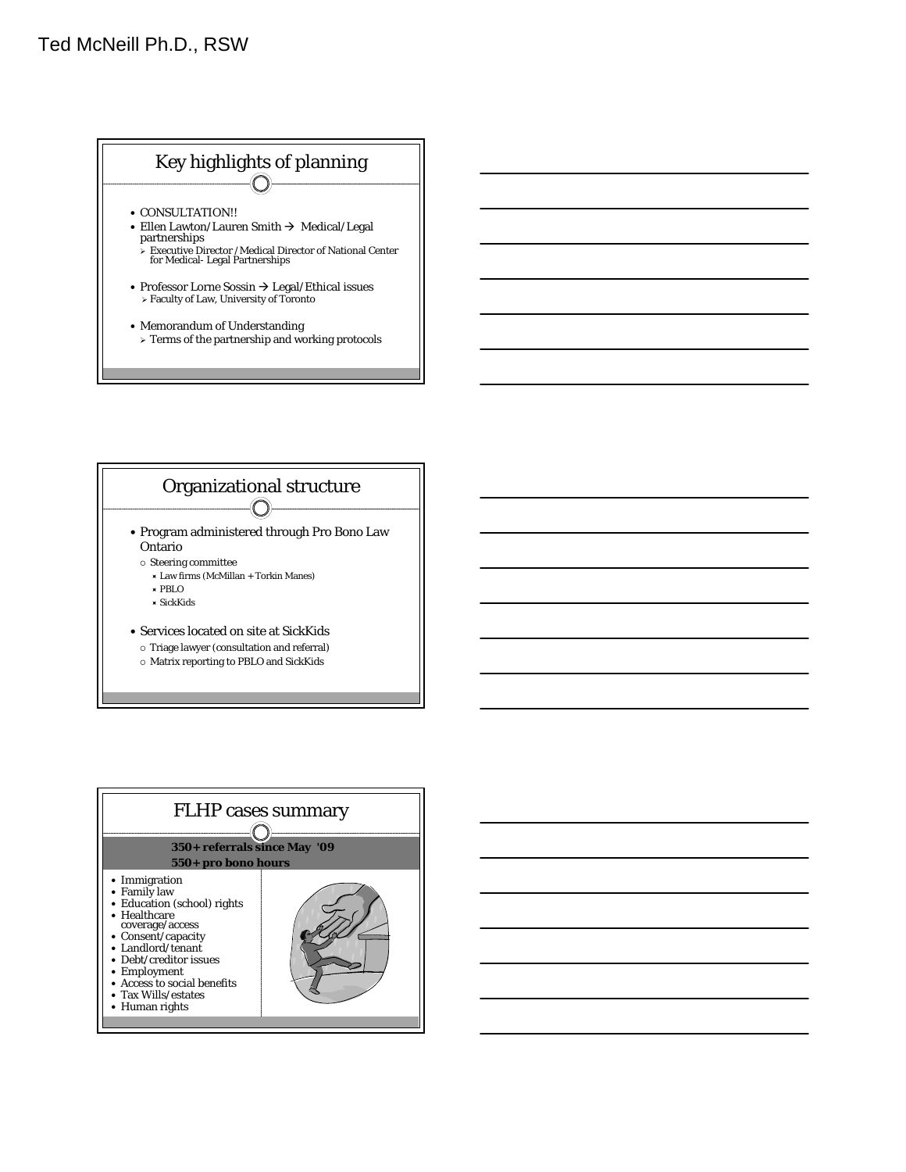



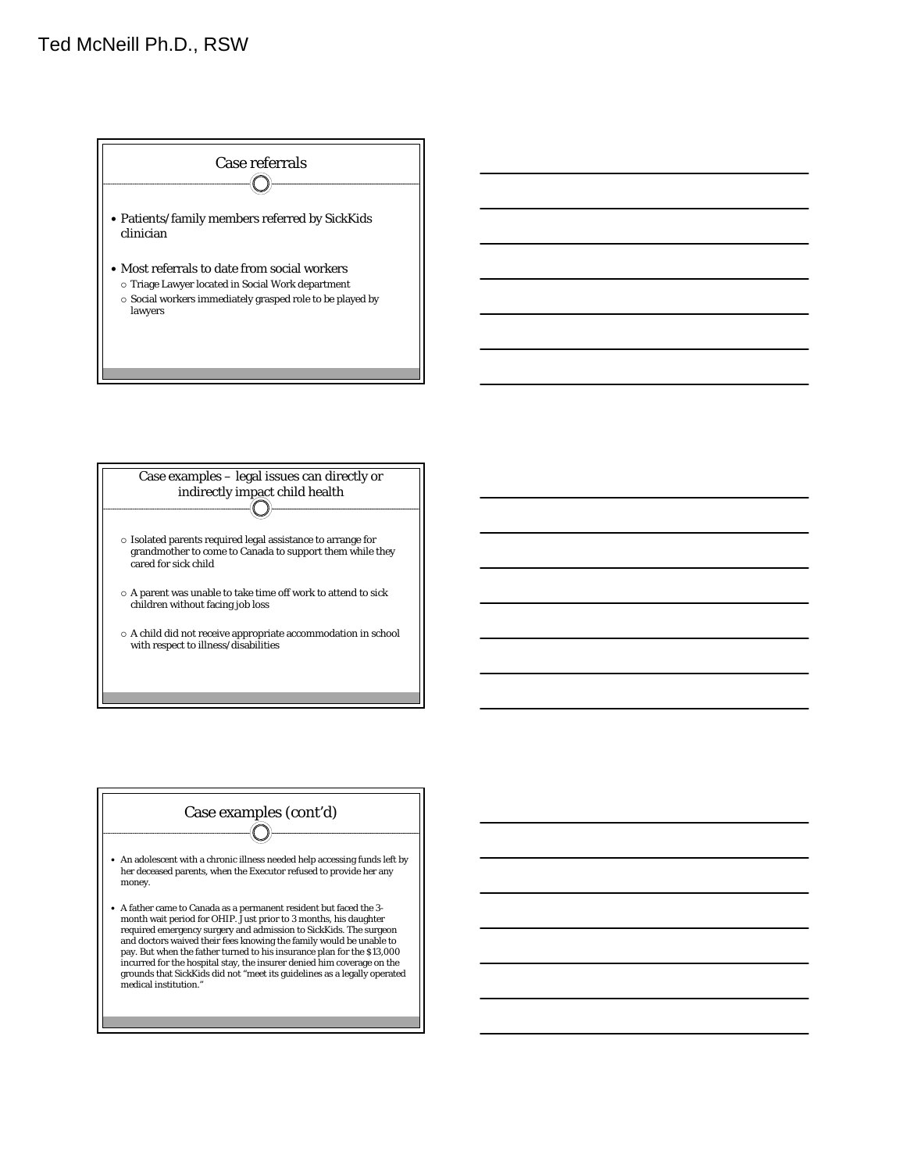





- An adolescent with a chronic illness needed help accessing funds left by her deceased parents, when the Executor refused to provide her any money.
- A father came to Canada as a permanent resident but faced the 3- month wait period for OHIP. Just prior to 3 months, his daughter required emergency surgery and admission to SickKids. The surgeon and doctors waived their fees knowing the family would be unable to pay. But when the father turned to his insurance plan for the \$13,000 incurred for the hospital stay, the insurer denied him coverage on the grounds that SickKids did not "meet its guidelines as a legally operated medical institution."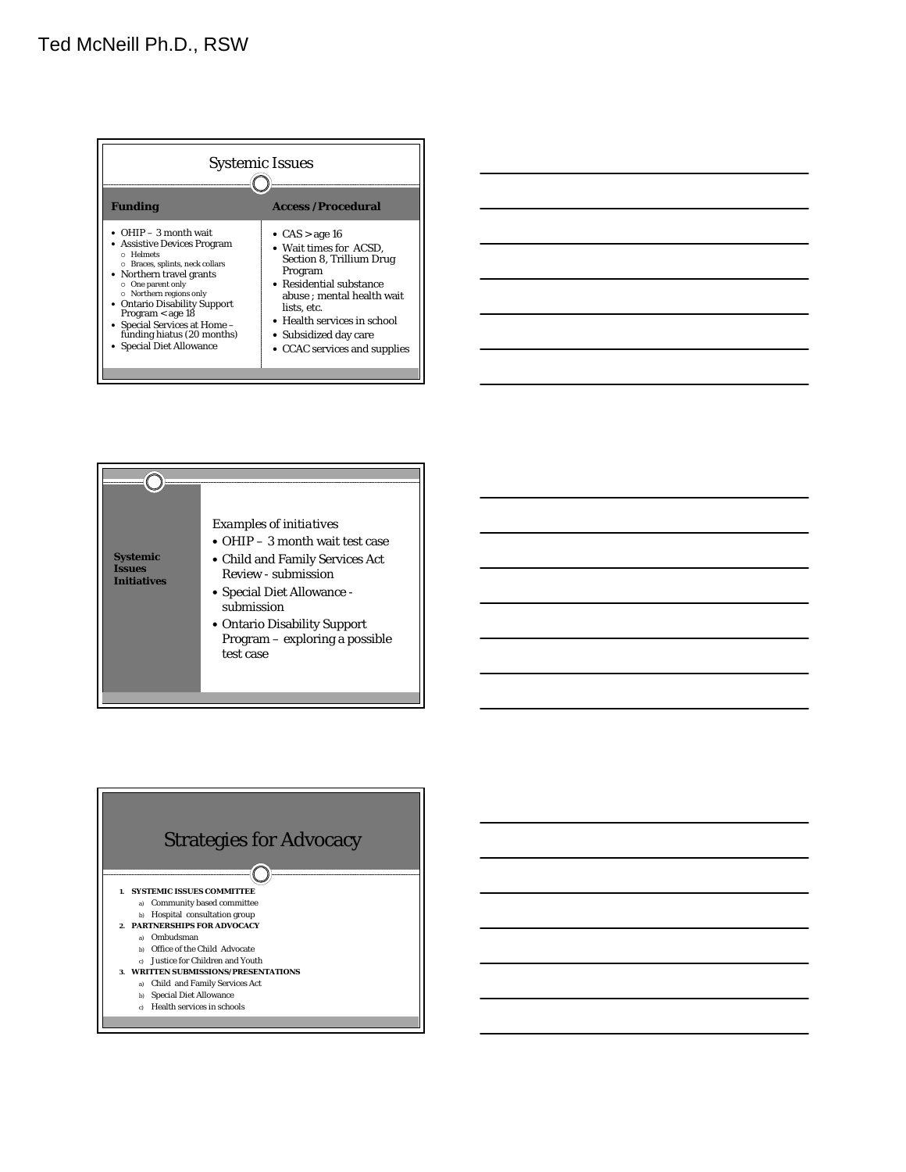| <b>Access /Procedural</b><br><b>Funding</b><br>• OHIP $-3$ month wait<br>• $CAS > age 16$<br>• Assistive Devices Program<br>• Wait times for ACSD.<br>o Helmets<br>Section 8, Trillium Drug<br>O Braces, splints, neck collars<br>Program<br>• Northern travel grants<br>• Residential substance<br>O One parent only<br>○ Northern regions only<br>abuse ; mental health wait<br><b>Ontario Disability Support</b><br>lists. etc.<br>Program $<$ age 18<br>• Health services in school<br>• Special Services at Home -<br>funding hiatus (20 months)<br>• Subsidized day care<br>• Special Diet Allowance<br>• CCAC services and supplies | <b>Systemic Issues</b> |  |
|--------------------------------------------------------------------------------------------------------------------------------------------------------------------------------------------------------------------------------------------------------------------------------------------------------------------------------------------------------------------------------------------------------------------------------------------------------------------------------------------------------------------------------------------------------------------------------------------------------------------------------------------|------------------------|--|
|                                                                                                                                                                                                                                                                                                                                                                                                                                                                                                                                                                                                                                            |                        |  |
|                                                                                                                                                                                                                                                                                                                                                                                                                                                                                                                                                                                                                                            |                        |  |